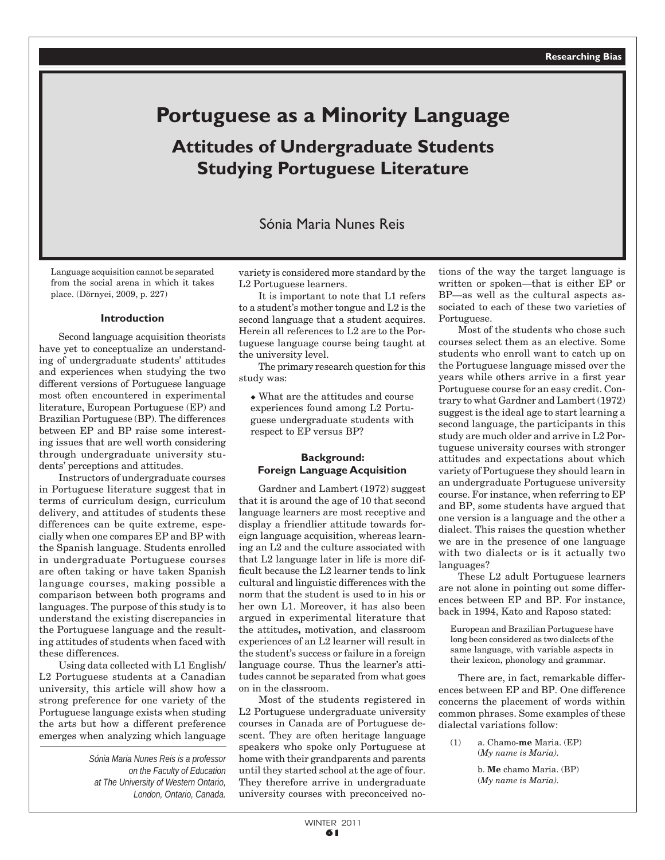# **Portuguese as a Minority Language Attitudes of Undergraduate Students Studying Portuguese Literature**

# Sónia Maria Nunes Reis

Language acquisition cannot be separated from the social arena in which it takes place. (Dörnyei, 2009, p. 227)

#### **Introduction**

Second language acquisition theorists have yet to conceptualize an understanding of undergraduate students' attitudes and experiences when studying the two different versions of Portuguese language most often encountered in experimental literature, European Portuguese (EP) and Brazilian Portuguese (BP). The differences between EP and BP raise some interesting issues that are well worth considering through undergraduate university students' perceptions and attitudes.

Instructors of undergraduate courses in Portuguese literature suggest that in terms of curriculum design, curriculum delivery, and attitudes of students these differences can be quite extreme, especially when one compares EP and BP with the Spanish language. Students enrolled in undergraduate Portuguese courses are often taking or have taken Spanish language courses, making possible a comparison between both programs and languages. The purpose of this study is to understand the existing discrepancies in the Portuguese language and the resulting attitudes of students when faced with these differences.

Using data collected with L1 English/ L2 Portuguese students at a Canadian university, this article will show how a strong preference for one variety of the Portuguese language exists when studing the arts but how a different preference emerges when analyzing which language

> *Sónia Maria Nunes Reis is a professor on the Faculty of Education at The University of Western Ontario, London, Ontario, Canada.*

variety is considered more standard by the L2 Portuguese learners.

It is important to note that L1 refers to a student's mother tongue and L2 is the second language that a student acquires. Herein all references to L2 are to the Portuguese language course being taught at the university level.

The primary research question for this study was:

 $\bullet$  What are the attitudes and course experiences found among L2 Portuguese undergraduate students with respect to EP versus BP?

# **Background: Foreign Language Acquisition**

Gardner and Lambert (1972) suggest that it is around the age of 10 that second language learners are most receptive and display a friendlier attitude towards foreign language acquisition, whereas learning an L2 and the culture associated with that L2 language later in life is more difficult because the L2 learner tends to link cultural and linguistic differences with the norm that the student is used to in his or her own L1. Moreover, it has also been argued in experimental literature that the attitudes**,** motivation, and classroom experiences of an L2 learner will result in the student's success or failure in a foreign language course. Thus the learner's attitudes cannot be separated from what goes on in the classroom.

Most of the students registered in L2 Portuguese undergraduate university courses in Canada are of Portuguese descent. They are often heritage language speakers who spoke only Portuguese at home with their grandparents and parents until they started school at the age of four. They therefore arrive in undergraduate university courses with preconceived notions of the way the target language is written or spoken—that is either EP or BP—as well as the cultural aspects associated to each of these two varieties of Portuguese.

Most of the students who chose such courses select them as an elective. Some students who enroll want to catch up on the Portuguese language missed over the years while others arrive in a first year Portuguese course for an easy credit. Contrary to what Gardner and Lambert (1972) suggest is the ideal age to start learning a second language, the participants in this study are much older and arrive in L2 Portuguese university courses with stronger attitudes and expectations about which variety of Portuguese they should learn in an undergraduate Portuguese university course. For instance, when referring to EP and BP, some students have argued that one version is a language and the other a dialect. This raises the question whether we are in the presence of one language with two dialects or is it actually two languages?

These L2 adult Portuguese learners are not alone in pointing out some differences between EP and BP. For instance, back in 1994, Kato and Raposo stated:

European and Brazilian Portuguese have long been considered as two dialects of the same language, with variable aspects in their lexicon, phonology and grammar.

There are, in fact, remarkable differences between EP and BP. One difference concerns the placement of words within common phrases. Some examples of these dialectal variations follow:

(1) a. Chamo-**me** Maria. (EP) (*My name is Maria).*

> b. **Me** chamo Maria. (BP) (*My name is Maria).*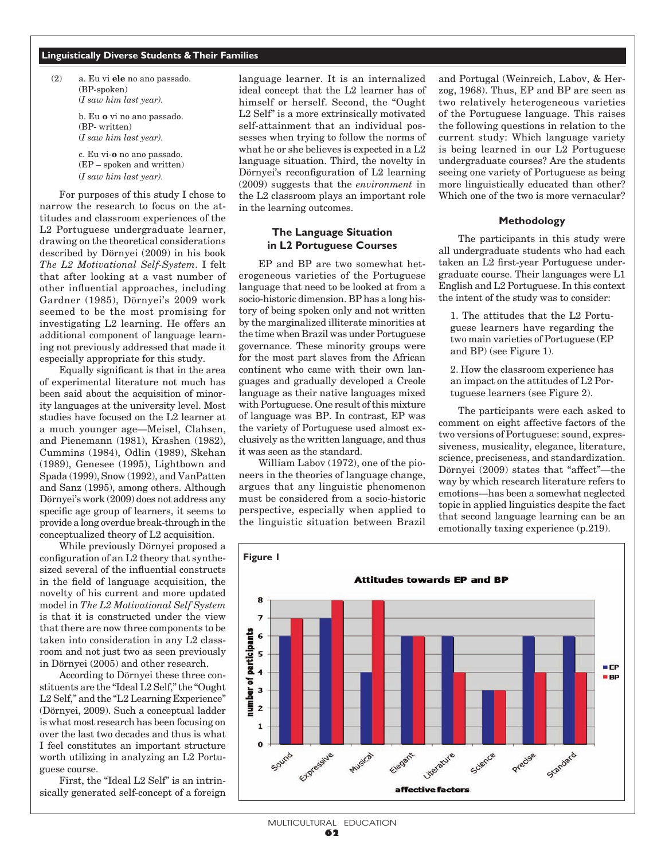### **Linguistically Diverse Students & Their Families**

(2) a. Eu vi **ele** no ano passado. (BP-spoken) (*I saw him last year).*

> b. Eu **o** vi no ano passado. (BP- written) (*I saw him last year).*

c. Eu vi-**o** no ano passado. (EP – spoken and written) (*I saw him last year).*

For purposes of this study I chose to narrow the research to focus on the attitudes and classroom experiences of the L2 Portuguese undergraduate learner, drawing on the theoretical considerations described by Dörnyei (2009) in his book *The L2 Motivational Self-System*. I felt that after looking at a vast number of other influential approaches, including Gardner (1985), Dörnyei's 2009 work seemed to be the most promising for investigating L2 learning. He offers an additional component of language learning not previously addressed that made it especially appropriate for this study.

Equally significant is that in the area of experimental literature not much has been said about the acquisition of minority languages at the university level. Most studies have focused on the L2 learner at a much younger age—Meisel, Clahsen, and Pienemann (1981), Krashen (1982), Cummins (1984), Odlin (1989), Skehan (1989), Genesee (1995), Lightbown and Spada (1999), Snow (1992), and VanPatten and Sanz (1995), among others. Although Dörnyei's work (2009) does not address any specific age group of learners, it seems to provide a long overdue break-through in the conceptualized theory of L2 acquisition.

While previously Dörnyei proposed a configuration of an L2 theory that synthesized several of the influential constructs in the field of language acquisition, the novelty of his current and more updated model in *The L2 Motivational Self System* is that it is constructed under the view that there are now three components to be taken into consideration in any L2 classroom and not just two as seen previously in Dörnyei (2005) and other research.

According to Dörnyei these three constituents are the "Ideal L2 Self," the "Ought L2 Self," and the "L2 Learning Experience" (Dörnyei, 2009). Such a conceptual ladder is what most research has been focusing on over the last two decades and thus is what I feel constitutes an important structure worth utilizing in analyzing an L2 Portuguese course.

First, the "Ideal L2 Self" is an intrinsically generated self-concept of a foreign language learner. It is an internalized ideal concept that the L2 learner has of himself or herself. Second, the "Ought L2 Self" is a more extrinsically motivated self-attainment that an individual possesses when trying to follow the norms of what he or she believes is expected in a L2 language situation. Third, the novelty in Dörnyei's reconfiguration of L2 learning (2009) suggests that the *environment* in the L2 classroom plays an important role in the learning outcomes.

# **The Language Situation in L2 Portuguese Courses**

EP and BP are two somewhat heterogeneous varieties of the Portuguese language that need to be looked at from a socio-historic dimension. BP has a long history of being spoken only and not written by the marginalized illiterate minorities at the time when Brazil was under Portuguese governance. These minority groups were for the most part slaves from the African continent who came with their own languages and gradually developed a Creole language as their native languages mixed with Portuguese. One result of this mixture of language was BP. In contrast, EP was the variety of Portuguese used almost exclusively as the written language, and thus it was seen as the standard.

William Labov (1972), one of the pioneers in the theories of language change, argues that any linguistic phenomenon must be considered from a socio-historic perspective, especially when applied to the linguistic situation between Brazil and Portugal (Weinreich, Labov, & Herzog, 1968). Thus, EP and BP are seen as two relatively heterogeneous varieties of the Portuguese language. This raises the following questions in relation to the current study: Which language variety is being learned in our L2 Portuguese undergraduate courses? Are the students seeing one variety of Portuguese as being more linguistically educated than other? Which one of the two is more vernacular?

## **Methodology**

The participants in this study were all undergraduate students who had each taken an L2 first-year Portuguese undergraduate course. Their languages were L1 English and L2 Portuguese. In this context the intent of the study was to consider:

1. The attitudes that the L2 Portuguese learners have regarding the two main varieties of Portuguese (EP and BP) (see Figure 1).

2. How the classroom experience has an impact on the attitudes of L2 Portuguese learners (see Figure 2).

The participants were each asked to comment on eight affective factors of the two versions of Portuguese: sound, expressiveness, musicality, elegance, literature, science, preciseness, and standardization. Dörnyei (2009) states that "affect"—the way by which research literature refers to emotions—has been a somewhat neglected topic in applied linguistics despite the fact that second language learning can be an emotionally taxing experience (p.219).

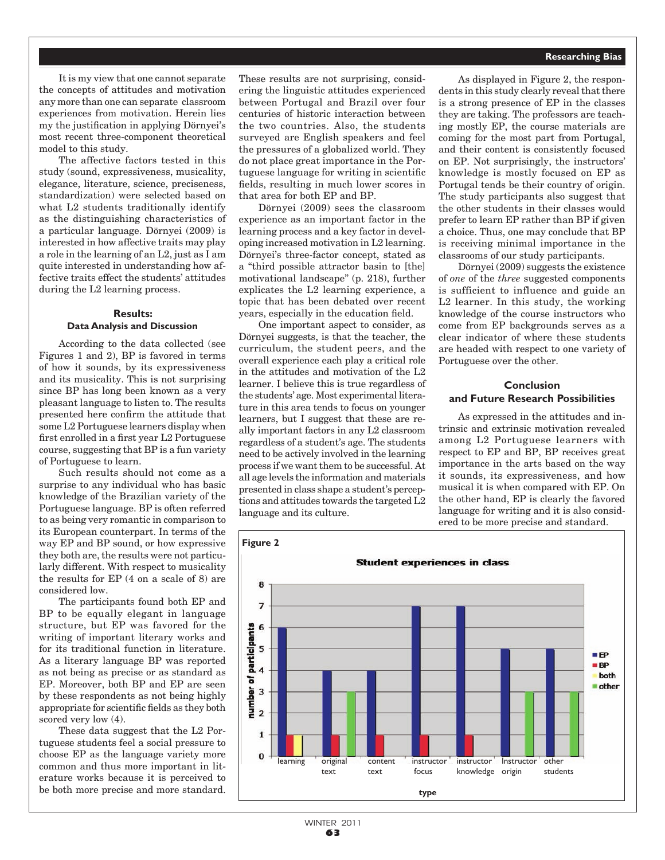#### **Researching Bias**

It is my view that one cannot separate the concepts of attitudes and motivation any more than one can separate classroom experiences from motivation. Herein lies my the justification in applying Dörnyei's most recent three-component theoretical model to this study.

The affective factors tested in this study (sound, expressiveness, musicality, elegance, literature, science, preciseness, standardization) were selected based on what L2 students traditionally identify as the distinguishing characteristics of a particular language. Dörnyei (2009) is interested in how affective traits may play a role in the learning of an L2, just as I am quite interested in understanding how affective traits effect the students' attitudes during the L2 learning process.

# **Results: Data Analysis and Discussion**

According to the data collected (see Figures 1 and 2), BP is favored in terms of how it sounds, by its expressiveness and its musicality. This is not surprising since BP has long been known as a very pleasant language to listen to. The results presented here confirm the attitude that some L2 Portuguese learners display when first enrolled in a first year L2 Portuguese course, suggesting that BP is a fun variety of Portuguese to learn.

Such results should not come as a surprise to any individual who has basic knowledge of the Brazilian variety of the Portuguese language. BP is often referred to as being very romantic in comparison to its European counterpart. In terms of the way EP and BP sound, or how expressive they both are, the results were not particularly different. With respect to musicality the results for EP (4 on a scale of 8) are considered low.

The participants found both EP and BP to be equally elegant in language structure, but EP was favored for the writing of important literary works and for its traditional function in literature. As a literary language BP was reported as not being as precise or as standard as EP. Moreover, both BP and EP are seen by these respondents as not being highly appropriate for scientific fields as they both scored very low  $(4)$ .

These data suggest that the L2 Portuguese students feel a social pressure to choose EP as the language variety more common and thus more important in literature works because it is perceived to be both more precise and more standard.

These results are not surprising, considering the linguistic attitudes experienced between Portugal and Brazil over four centuries of historic interaction between the two countries. Also, the students surveyed are English speakers and feel the pressures of a globalized world. They do not place great importance in the Portuguese language for writing in scientific fields, resulting in much lower scores in that area for both EP and BP.

Dörnyei (2009) sees the classroom experience as an important factor in the learning process and a key factor in developing increased motivation in L2 learning. Dörnyei's three-factor concept, stated as a "third possible attractor basin to [the] motivational landscape" (p. 218), further explicates the L2 learning experience, a topic that has been debated over recent years, especially in the education field.

One important aspect to consider, as Dörnyei suggests, is that the teacher, the curriculum, the student peers, and the overall experience each play a critical role in the attitudes and motivation of the L2 learner. I believe this is true regardless of the students' age. Most experimental literature in this area tends to focus on younger learners, but I suggest that these are really important factors in any L2 classroom regardless of a student's age. The students need to be actively involved in the learning process if we want them to be successful. At all age levels the information and materials presented in class shape a student's perceptions and attitudes towards the targeted L2 language and its culture.

As displayed in Figure 2, the respondents in this study clearly reveal that there is a strong presence of EP in the classes they are taking. The professors are teaching mostly EP, the course materials are coming for the most part from Portugal, and their content is consistently focused on EP. Not surprisingly, the instructors' knowledge is mostly focused on EP as Portugal tends be their country of origin. The study participants also suggest that the other students in their classes would prefer to learn EP rather than BP if given a choice. Thus, one may conclude that BP is receiving minimal importance in the classrooms of our study participants.

Dörnyei (2009) suggests the existence of *one* of the *three* suggested components is sufficient to influence and guide an L2 learner. In this study, the working knowledge of the course instructors who come from EP backgrounds serves as a clear indicator of where these students are headed with respect to one variety of Portuguese over the other.

# **Conclusion and Future Research Possibilities**

As expressed in the attitudes and intrinsic and extrinsic motivation revealed among L2 Portuguese learners with respect to EP and BP, BP receives great importance in the arts based on the way it sounds, its expressiveness, and how musical it is when compared with EP. On the other hand, EP is clearly the favored language for writing and it is also considered to be more precise and standard.